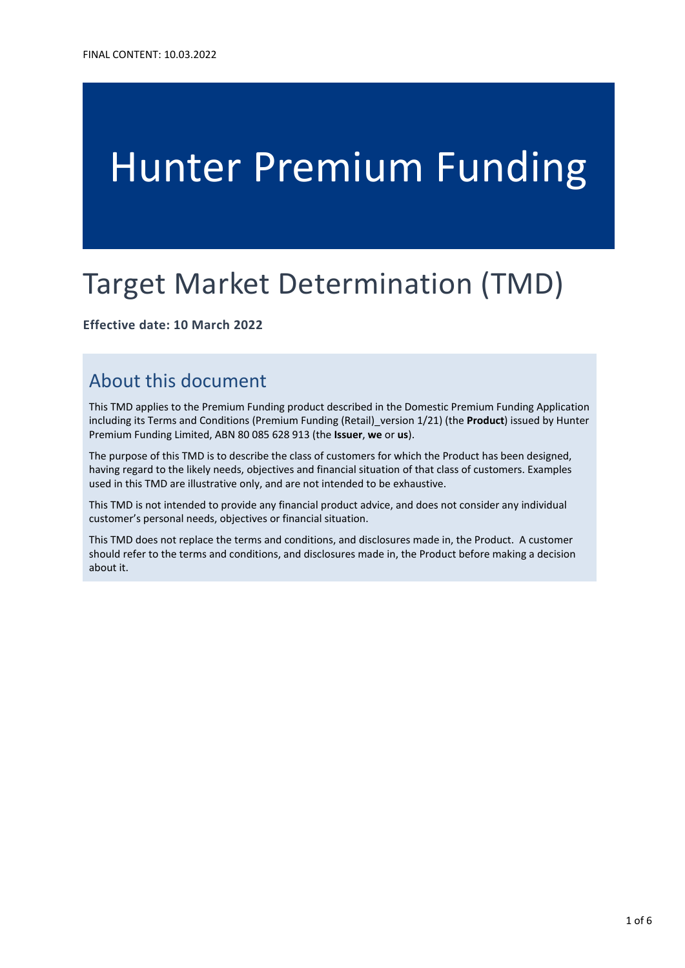# Hunter Premium Funding

## Target Market Determination (TMD)

#### **Effective date: 10 March 2022**

### About this document

This TMD applies to the Premium Funding product described in the Domestic Premium Funding Application including its Terms and Conditions (Premium Funding (Retail)\_version 1/21) (the **Product**) issued by Hunter Premium Funding Limited, ABN 80 085 628 913 (the **Issuer**, **we** or **us**).

The purpose of this TMD is to describe the class of customers for which the Product has been designed, having regard to the likely needs, objectives and financial situation of that class of customers. Examples used in this TMD are illustrative only, and are not intended to be exhaustive.

This TMD is not intended to provide any financial product advice, and does not consider any individual customer's personal needs, objectives or financial situation.

This TMD does not replace the terms and conditions, and disclosures made in, the Product. A customer should refer to the terms and conditions, and disclosures made in, the Product before making a decision about it.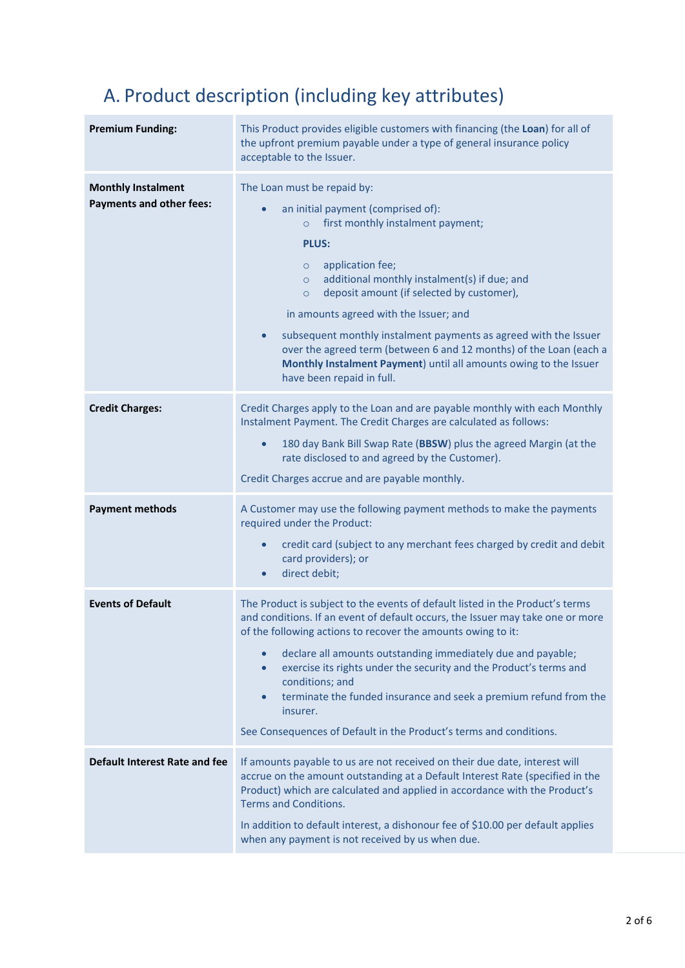## A. Product description (including key attributes)

| <b>Premium Funding:</b>                                      | This Product provides eligible customers with financing (the Loan) for all of<br>the upfront premium payable under a type of general insurance policy<br>acceptable to the Issuer.                                                                                                                                                                                                                                                                                                                                                                                                                  |
|--------------------------------------------------------------|-----------------------------------------------------------------------------------------------------------------------------------------------------------------------------------------------------------------------------------------------------------------------------------------------------------------------------------------------------------------------------------------------------------------------------------------------------------------------------------------------------------------------------------------------------------------------------------------------------|
| <b>Monthly Instalment</b><br><b>Payments and other fees:</b> | The Loan must be repaid by:<br>an initial payment (comprised of):<br>$\bullet$<br>first monthly instalment payment;<br>$\circ$<br><b>PLUS:</b><br>application fee;<br>$\circ$<br>additional monthly instalment(s) if due; and<br>$\circ$<br>deposit amount (if selected by customer),<br>$\circ$<br>in amounts agreed with the Issuer; and<br>subsequent monthly instalment payments as agreed with the Issuer<br>$\bullet$<br>over the agreed term (between 6 and 12 months) of the Loan (each a<br>Monthly Instalment Payment) until all amounts owing to the Issuer<br>have been repaid in full. |
| <b>Credit Charges:</b>                                       | Credit Charges apply to the Loan and are payable monthly with each Monthly<br>Instalment Payment. The Credit Charges are calculated as follows:<br>180 day Bank Bill Swap Rate (BBSW) plus the agreed Margin (at the<br>$\bullet$<br>rate disclosed to and agreed by the Customer).<br>Credit Charges accrue and are payable monthly.                                                                                                                                                                                                                                                               |
| <b>Payment methods</b>                                       | A Customer may use the following payment methods to make the payments<br>required under the Product:<br>credit card (subject to any merchant fees charged by credit and debit<br>card providers); or<br>direct debit;<br>$\bullet$                                                                                                                                                                                                                                                                                                                                                                  |
| <b>Events of Default</b>                                     | The Product is subject to the events of default listed in the Product's terms<br>and conditions. If an event of default occurs, the Issuer may take one or more<br>of the following actions to recover the amounts owing to it:<br>declare all amounts outstanding immediately due and payable;<br>$\bullet$<br>exercise its rights under the security and the Product's terms and<br>$\bullet$<br>conditions; and<br>terminate the funded insurance and seek a premium refund from the<br>$\bullet$<br>insurer.<br>See Consequences of Default in the Product's terms and conditions.              |
| <b>Default Interest Rate and fee</b>                         | If amounts payable to us are not received on their due date, interest will<br>accrue on the amount outstanding at a Default Interest Rate (specified in the<br>Product) which are calculated and applied in accordance with the Product's<br><b>Terms and Conditions.</b><br>In addition to default interest, a dishonour fee of \$10.00 per default applies<br>when any payment is not received by us when due.                                                                                                                                                                                    |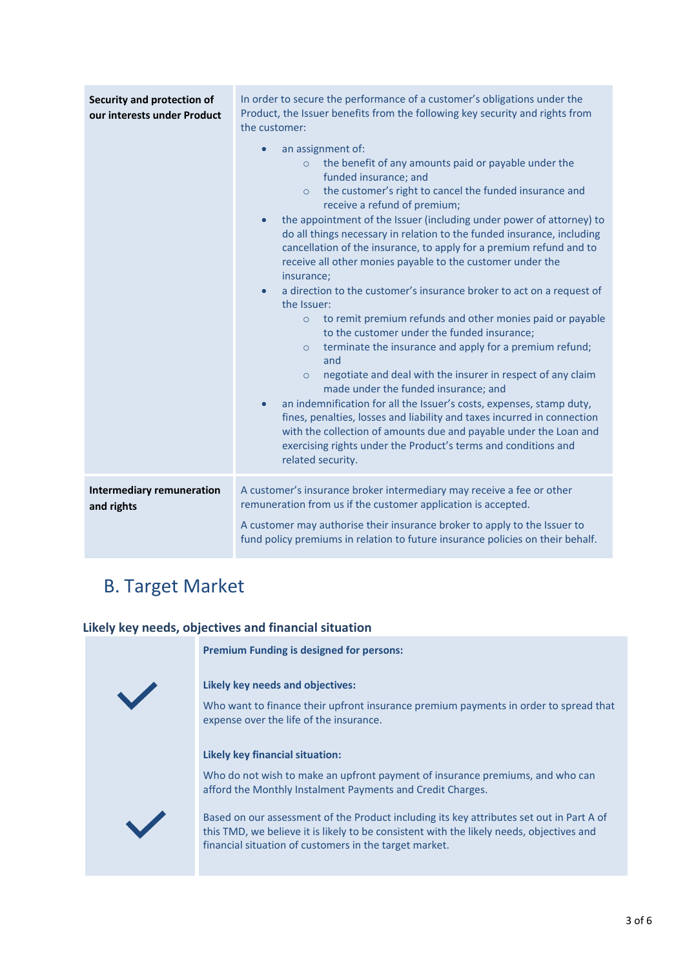| Security and protection of<br>our interests under Product | In order to secure the performance of a customer's obligations under the<br>Product, the Issuer benefits from the following key security and rights from<br>the customer:                                                                                                                                                                                                                                                                                                                                                                                                                                                                                                                                                                                                                                                                                                                                                                                                                                                                                                                                                                                                                                                                                                                                 |
|-----------------------------------------------------------|-----------------------------------------------------------------------------------------------------------------------------------------------------------------------------------------------------------------------------------------------------------------------------------------------------------------------------------------------------------------------------------------------------------------------------------------------------------------------------------------------------------------------------------------------------------------------------------------------------------------------------------------------------------------------------------------------------------------------------------------------------------------------------------------------------------------------------------------------------------------------------------------------------------------------------------------------------------------------------------------------------------------------------------------------------------------------------------------------------------------------------------------------------------------------------------------------------------------------------------------------------------------------------------------------------------|
|                                                           | an assignment of:<br>$\bullet$<br>the benefit of any amounts paid or payable under the<br>$\circ$<br>funded insurance; and<br>the customer's right to cancel the funded insurance and<br>$\circ$<br>receive a refund of premium;<br>the appointment of the Issuer (including under power of attorney) to<br>$\bullet$<br>do all things necessary in relation to the funded insurance, including<br>cancellation of the insurance, to apply for a premium refund and to<br>receive all other monies payable to the customer under the<br>insurance;<br>a direction to the customer's insurance broker to act on a request of<br>$\bullet$<br>the Issuer:<br>to remit premium refunds and other monies paid or payable<br>$\circ$<br>to the customer under the funded insurance;<br>terminate the insurance and apply for a premium refund;<br>$\circ$<br>and<br>negotiate and deal with the insurer in respect of any claim<br>$\circ$<br>made under the funded insurance; and<br>an indemnification for all the Issuer's costs, expenses, stamp duty,<br>$\bullet$<br>fines, penalties, losses and liability and taxes incurred in connection<br>with the collection of amounts due and payable under the Loan and<br>exercising rights under the Product's terms and conditions and<br>related security. |
| <b>Intermediary remuneration</b><br>and rights            | A customer's insurance broker intermediary may receive a fee or other<br>remuneration from us if the customer application is accepted.<br>A customer may authorise their insurance broker to apply to the Issuer to<br>fund policy premiums in relation to future insurance policies on their behalf.                                                                                                                                                                                                                                                                                                                                                                                                                                                                                                                                                                                                                                                                                                                                                                                                                                                                                                                                                                                                     |

## B. Target Market

#### **Likely key needs, objectives and financial situation**



**Premium Funding is designed for persons:**

#### **Likely key needs and objectives:**

Who want to finance their upfront insurance premium payments in order to spread that expense over the life of the insurance.

#### **Likely key financial situation:**

Who do not wish to make an upfront payment of insurance premiums, and who can afford the Monthly Instalment Payments and Credit Charges.

Based on our assessment of the Product including its key attributes set out in Part A of this TMD, we believe it is likely to be consistent with the likely needs, objectives and financial situation of customers in the target market.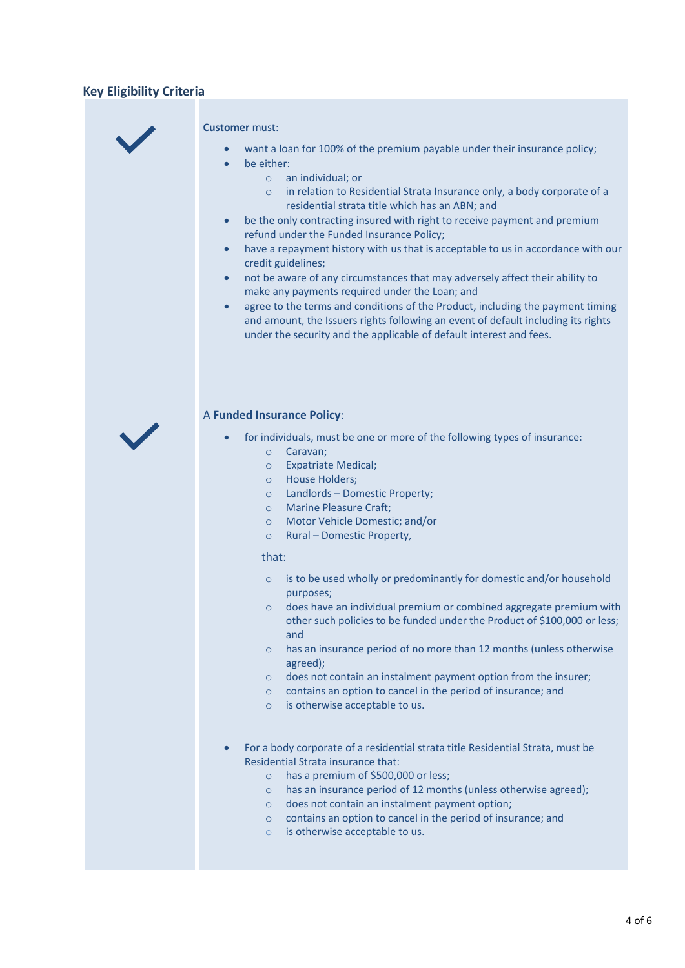#### **Key Eligibility Criteria**



#### **Customer** must:

- want a loan for 100% of the premium payable under their insurance policy; be either:
	- o an individual; or
	- o in relation to Residential Strata Insurance only, a body corporate of a residential strata title which has an ABN; and
- be the only contracting insured with right to receive payment and premium refund under the Funded Insurance Policy;
- have a repayment history with us that is acceptable to us in accordance with our credit guidelines;
- not be aware of any circumstances that may adversely affect their ability to make any payments required under the Loan; and
- agree to the terms and conditions of the Product, including the payment timing and amount, the Issuers rights following an event of default including its rights under the security and the applicable of default interest and fees.



#### A **Funded Insurance Policy**:

- for individuals, must be one or more of the following types of insurance:
	- o Caravan;
	- o Expatriate Medical;
	- o House Holders;
	- o Landlords Domestic Property;
	- o Marine Pleasure Craft;
	- o Motor Vehicle Domestic; and/or
	- o Rural Domestic Property,

#### that:

- o is to be used wholly or predominantly for domestic and/or household purposes;
- o does have an individual premium or combined aggregate premium with other such policies to be funded under the Product of \$100,000 or less; and
- o has an insurance period of no more than 12 months (unless otherwise agreed);
- o does not contain an instalment payment option from the insurer;
- o contains an option to cancel in the period of insurance; and
- o is otherwise acceptable to us.
- For a body corporate of a residential strata title Residential Strata, must be Residential Strata insurance that:
	- o has a premium of \$500,000 or less;
	- o has an insurance period of 12 months (unless otherwise agreed);
	- o does not contain an instalment payment option;
	- o contains an option to cancel in the period of insurance; and
	- o is otherwise acceptable to us.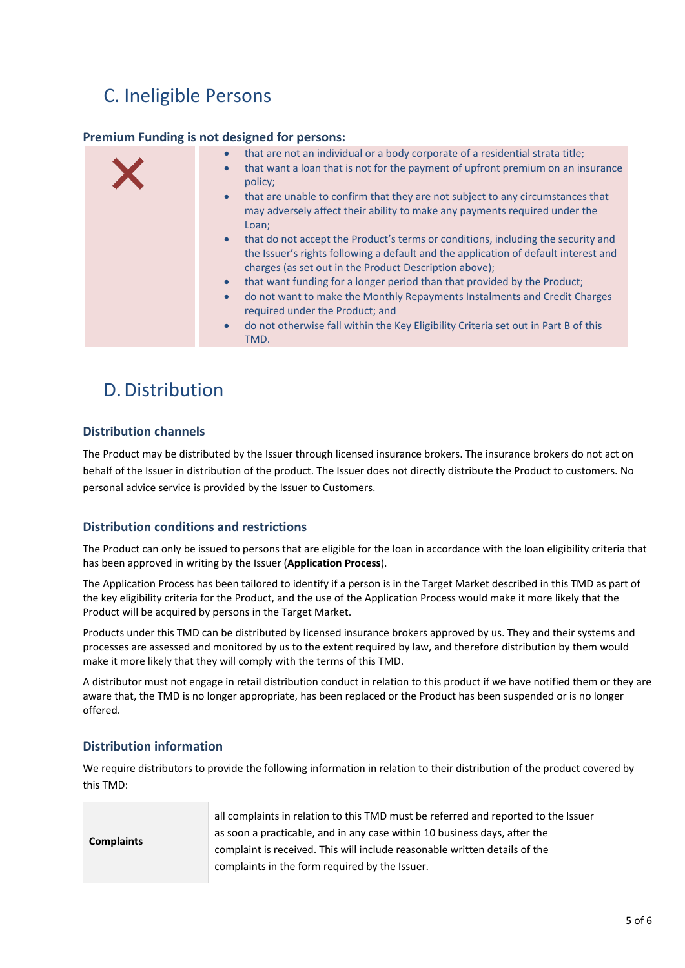## C. Ineligible Persons

#### **Premium Funding is not designed for persons:**

| that are not an individual or a body corporate of a residential strata title;<br>$\bullet$<br>that want a loan that is not for the payment of upfront premium on an insurance<br>$\bullet$<br>policy;<br>that are unable to confirm that they are not subject to any circumstances that<br>$\bullet$<br>may adversely affect their ability to make any payments required under the<br>Loan;<br>that do not accept the Product's terms or conditions, including the security and<br>$\bullet$<br>the Issuer's rights following a default and the application of default interest and<br>charges (as set out in the Product Description above);<br>that want funding for a longer period than that provided by the Product;<br>$\bullet$<br>do not want to make the Monthly Repayments Instalments and Credit Charges<br>$\bullet$<br>required under the Product; and<br>do not otherwise fall within the Key Eligibility Criteria set out in Part B of this<br>$\bullet$ |
|-------------------------------------------------------------------------------------------------------------------------------------------------------------------------------------------------------------------------------------------------------------------------------------------------------------------------------------------------------------------------------------------------------------------------------------------------------------------------------------------------------------------------------------------------------------------------------------------------------------------------------------------------------------------------------------------------------------------------------------------------------------------------------------------------------------------------------------------------------------------------------------------------------------------------------------------------------------------------|
| TMD.                                                                                                                                                                                                                                                                                                                                                                                                                                                                                                                                                                                                                                                                                                                                                                                                                                                                                                                                                                    |

## D. Distribution

#### **Distribution channels**

The Product may be distributed by the Issuer through licensed insurance brokers. The insurance brokers do not act on behalf of the Issuer in distribution of the product. The Issuer does not directly distribute the Product to customers. No personal advice service is provided by the Issuer to Customers.

#### **Distribution conditions and restrictions**

The Product can only be issued to persons that are eligible for the loan in accordance with the loan eligibility criteria that has been approved in writing by the Issuer (**Application Process**).

The Application Process has been tailored to identify if a person is in the Target Market described in this TMD as part of the key eligibility criteria for the Product, and the use of the Application Process would make it more likely that the Product will be acquired by persons in the Target Market.

Products under this TMD can be distributed by licensed insurance brokers approved by us. They and their systems and processes are assessed and monitored by us to the extent required by law, and therefore distribution by them would make it more likely that they will comply with the terms of this TMD.

A distributor must not engage in retail distribution conduct in relation to this product if we have notified them or they are aware that, the TMD is no longer appropriate, has been replaced or the Product has been suspended or is no longer offered.

#### **Distribution information**

We require distributors to provide the following information in relation to their distribution of the product covered by this TMD:

| <b>Complaints</b> | all complaints in relation to this TMD must be referred and reported to the Issuer<br>as soon a practicable, and in any case within 10 business days, after the |
|-------------------|-----------------------------------------------------------------------------------------------------------------------------------------------------------------|
|                   | complaint is received. This will include reasonable written details of the<br>complaints in the form required by the Issuer.                                    |
|                   |                                                                                                                                                                 |